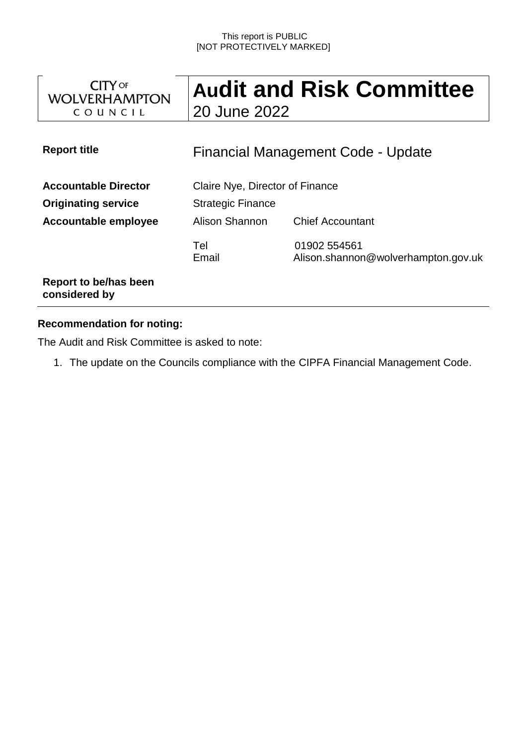#### This report is PUBLIC [NOT PROTECTIVELY MARKED]

| <b>CITY OF</b><br><b>WOLVERHAMPTON</b><br>COUNCIL                                 | <b>Audit and Risk Committee</b><br>20 June 2022                                                          |                                                     |
|-----------------------------------------------------------------------------------|----------------------------------------------------------------------------------------------------------|-----------------------------------------------------|
| <b>Report title</b>                                                               | Financial Management Code - Update                                                                       |                                                     |
| <b>Accountable Director</b><br><b>Originating service</b><br>Accountable employee | Claire Nye, Director of Finance<br><b>Strategic Finance</b><br>Alison Shannon<br><b>Chief Accountant</b> |                                                     |
|                                                                                   | Tel<br>Email                                                                                             | 01902 554561<br>Alison.shannon@wolverhampton.gov.uk |
| Report to be/has been<br>considered by                                            |                                                                                                          |                                                     |

### **Recommendation for noting:**

The Audit and Risk Committee is asked to note:

1. The update on the Councils compliance with the CIPFA Financial Management Code.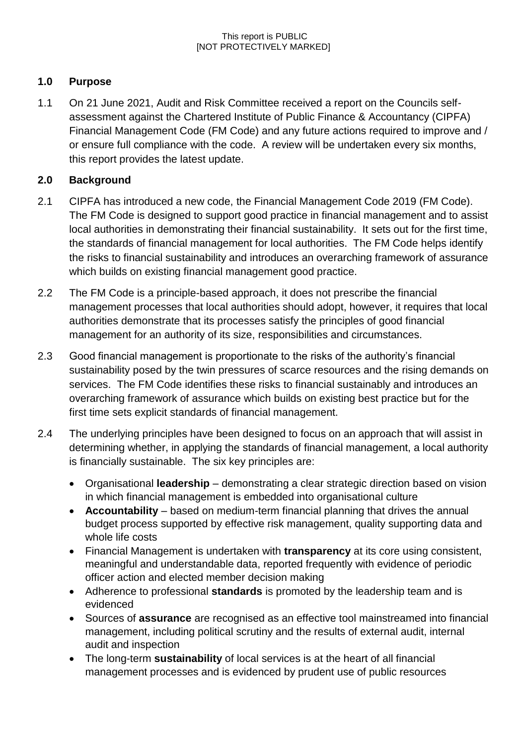## **1.0 Purpose**

1.1 On 21 June 2021, Audit and Risk Committee received a report on the Councils selfassessment against the Chartered Institute of Public Finance & Accountancy (CIPFA) Financial Management Code (FM Code) and any future actions required to improve and / or ensure full compliance with the code. A review will be undertaken every six months, this report provides the latest update.

# **2.0 Background**

- 2.1 CIPFA has introduced a new code, the Financial Management Code 2019 (FM Code). The FM Code is designed to support good practice in financial management and to assist local authorities in demonstrating their financial sustainability. It sets out for the first time, the standards of financial management for local authorities. The FM Code helps identify the risks to financial sustainability and introduces an overarching framework of assurance which builds on existing financial management good practice.
- 2.2 The FM Code is a principle-based approach, it does not prescribe the financial management processes that local authorities should adopt, however, it requires that local authorities demonstrate that its processes satisfy the principles of good financial management for an authority of its size, responsibilities and circumstances.
- 2.3 Good financial management is proportionate to the risks of the authority's financial sustainability posed by the twin pressures of scarce resources and the rising demands on services. The FM Code identifies these risks to financial sustainably and introduces an overarching framework of assurance which builds on existing best practice but for the first time sets explicit standards of financial management.
- 2.4 The underlying principles have been designed to focus on an approach that will assist in determining whether, in applying the standards of financial management, a local authority is financially sustainable. The six key principles are:
	- Organisational **leadership** demonstrating a clear strategic direction based on vision in which financial management is embedded into organisational culture
	- **Accountability** based on medium-term financial planning that drives the annual budget process supported by effective risk management, quality supporting data and whole life costs
	- Financial Management is undertaken with **transparency** at its core using consistent, meaningful and understandable data, reported frequently with evidence of periodic officer action and elected member decision making
	- Adherence to professional **standards** is promoted by the leadership team and is evidenced
	- Sources of **assurance** are recognised as an effective tool mainstreamed into financial management, including political scrutiny and the results of external audit, internal audit and inspection
	- The long-term **sustainability** of local services is at the heart of all financial management processes and is evidenced by prudent use of public resources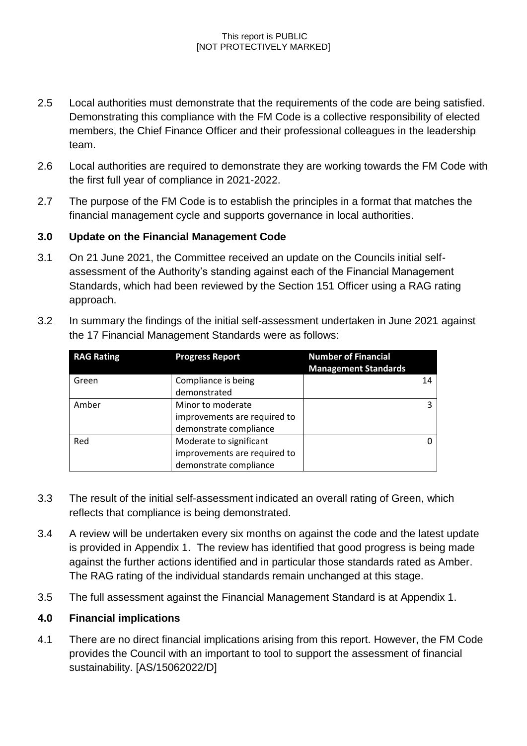#### This report is PUBLIC [NOT PROTECTIVELY MARKED]

- 2.5 Local authorities must demonstrate that the requirements of the code are being satisfied. Demonstrating this compliance with the FM Code is a collective responsibility of elected members, the Chief Finance Officer and their professional colleagues in the leadership team.
- 2.6 Local authorities are required to demonstrate they are working towards the FM Code with the first full year of compliance in 2021-2022.
- 2.7 The purpose of the FM Code is to establish the principles in a format that matches the financial management cycle and supports governance in local authorities.

### **3.0 Update on the Financial Management Code**

3.1 On 21 June 2021, the Committee received an update on the Councils initial selfassessment of the Authority's standing against each of the Financial Management Standards, which had been reviewed by the Section 151 Officer using a RAG rating approach.

| <b>RAG Rating</b> | <b>Progress Report</b>                                                            | <b>Number of Financial</b><br><b>Management Standards</b> |
|-------------------|-----------------------------------------------------------------------------------|-----------------------------------------------------------|
| Green             | Compliance is being<br>demonstrated                                               | 14                                                        |
| Amber             | Minor to moderate<br>improvements are required to<br>demonstrate compliance       | 3                                                         |
| Red               | Moderate to significant<br>improvements are required to<br>demonstrate compliance | O                                                         |

3.2 In summary the findings of the initial self-assessment undertaken in June 2021 against the 17 Financial Management Standards were as follows:

- 3.3 The result of the initial self-assessment indicated an overall rating of Green, which reflects that compliance is being demonstrated.
- 3.4 A review will be undertaken every six months on against the code and the latest update is provided in Appendix 1. The review has identified that good progress is being made against the further actions identified and in particular those standards rated as Amber. The RAG rating of the individual standards remain unchanged at this stage.
- 3.5 The full assessment against the Financial Management Standard is at Appendix 1.

### **4.0 Financial implications**

4.1 There are no direct financial implications arising from this report. However, the FM Code provides the Council with an important to tool to support the assessment of financial sustainability. [AS/15062022/D]